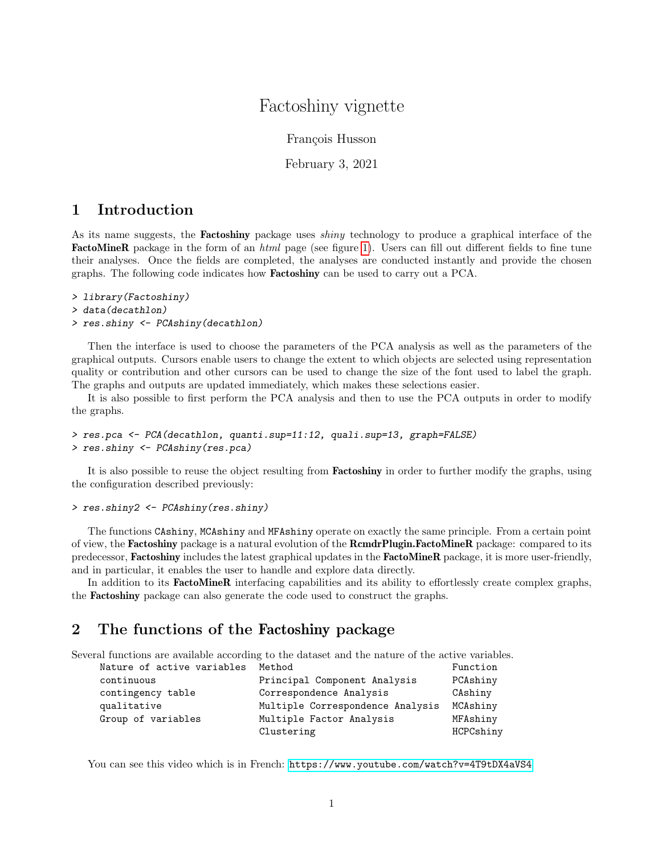## Factoshiny vignette

François Husson

February 3, 2021

## 1 Introduction

As its name suggests, the **Factoshiny** package uses *shiny* technology to produce a graphical interface of the FactoMineR package in the form of an html page (see figure [1\)](#page-1-0). Users can fill out different fields to fine tune their analyses. Once the fields are completed, the analyses are conducted instantly and provide the chosen graphs. The following code indicates how Factoshiny can be used to carry out a PCA.

> library(Factoshiny)

```
> data(decathlon)
```
> res.shiny <- PCAshiny(decathlon)

Then the interface is used to choose the parameters of the PCA analysis as well as the parameters of the graphical outputs. Cursors enable users to change the extent to which objects are selected using representation quality or contribution and other cursors can be used to change the size of the font used to label the graph. The graphs and outputs are updated immediately, which makes these selections easier.

It is also possible to first perform the PCA analysis and then to use the PCA outputs in order to modify the graphs.

```
> res.pca <- PCA(decathlon, quanti.sup=11:12, quali.sup=13, graph=FALSE)
> res.shiny <- PCAshiny(res.pca)
```
It is also possible to reuse the object resulting from **Factoshiny** in order to further modify the graphs, using the configuration described previously:

## > res.shiny2 <- PCAshiny(res.shiny)

The functions CAshiny, MCAshiny and MFAshiny operate on exactly the same principle. From a certain point of view, the Factoshiny package is a natural evolution of the RcmdrPlugin.FactoMineR package: compared to its predecessor, Factoshiny includes the latest graphical updates in the FactoMineR package, it is more user-friendly, and in particular, it enables the user to handle and explore data directly.

In addition to its **FactoMineR** interfacing capabilities and its ability to effortlessly create complex graphs, the Factoshiny package can also generate the code used to construct the graphs.

## 2 The functions of the Factoshiny package

Several functions are available according to the dataset and the nature of the active variables.

| Nature of active variables Method |                                  | Function  |
|-----------------------------------|----------------------------------|-----------|
| continuous                        | Principal Component Analysis     | PCAshiny  |
| contingency table                 | Correspondence Analysis          | CAshiny   |
| qualitative                       | Multiple Correspondence Analysis | MCAshiny  |
| Group of variables                | Multiple Factor Analysis         | MFAshiny  |
|                                   | Clustering                       | HCPCshiny |

You can see this video which is in French: <https://www.youtube.com/watch?v=4T9tDX4aVS4>